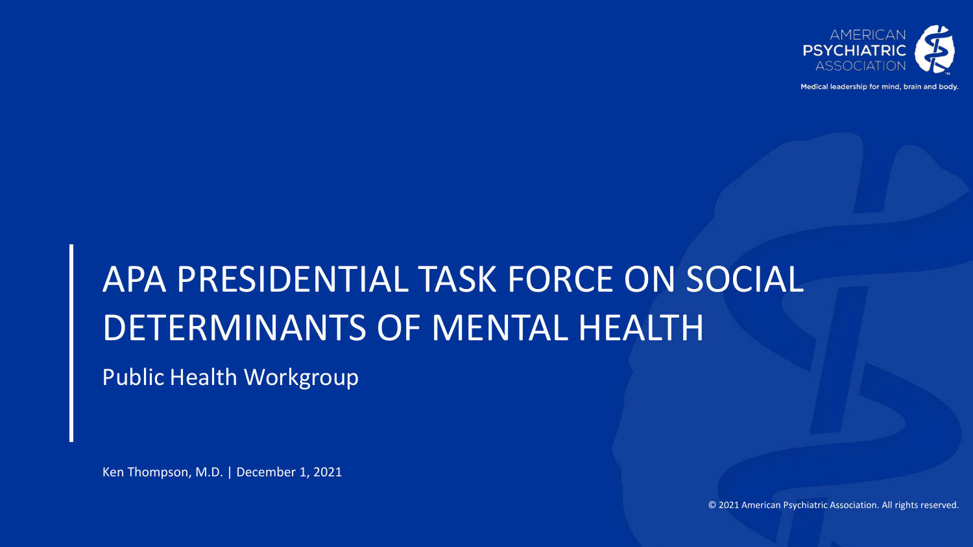

Medical leadership for mind, brain and body

## APA PRESIDENTIAL TASK FORCE ON SOCIAL DETERMINANTS OF MENTAL HEALTH

Public Health Workgroup

Ken Thompson, M.D. | December 1, 2021

© 2021 American Psychiatric Association. All rights reserved.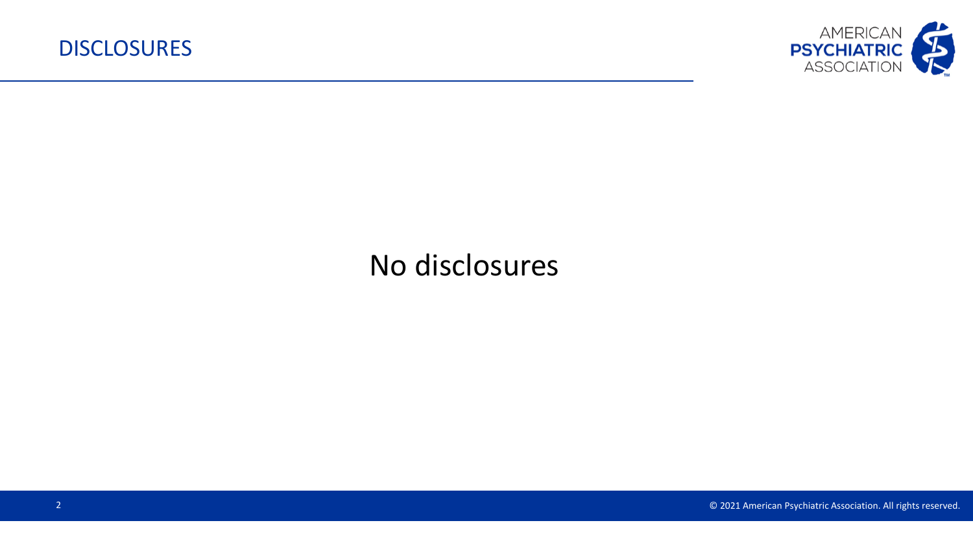

## No disclosures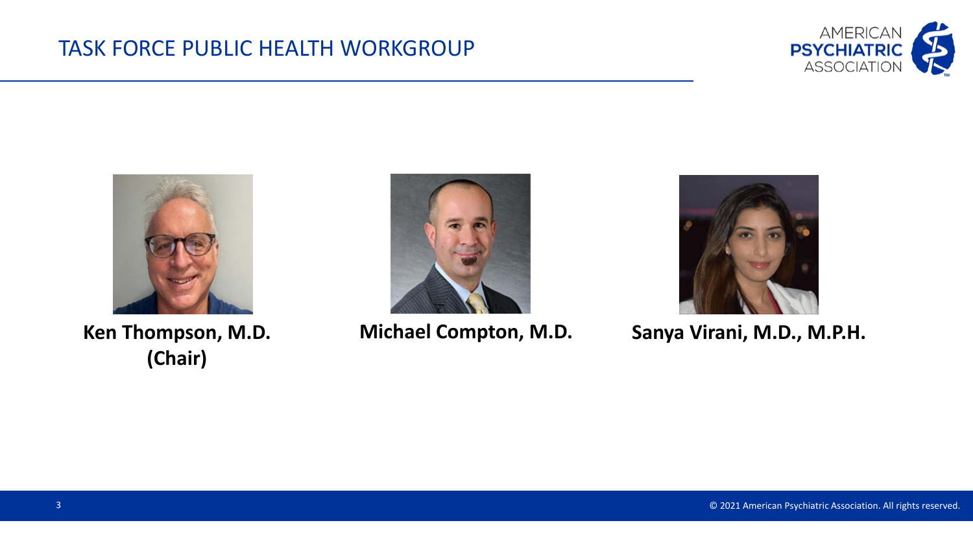



**Ken Thompson, M.D. (Chair)**





**Michael Compton, M.D. Sanya Virani, M.D., M.P.H.**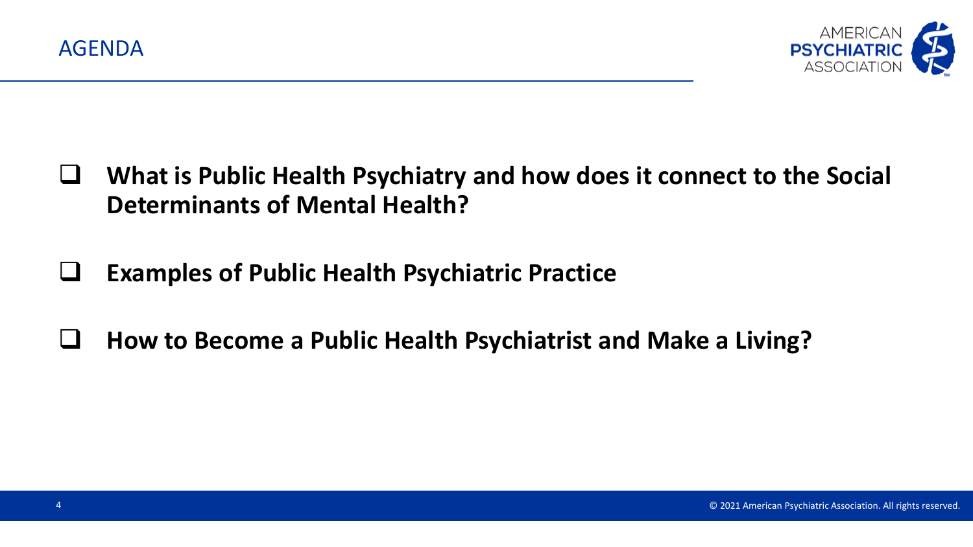



- **What is Public Health Psychiatry and how does it connect to the Social Determinants of Mental Health?**
- **Examples of Public Health Psychiatric Practice**
- **How to Become a Public Health Psychiatrist and Make a Living?**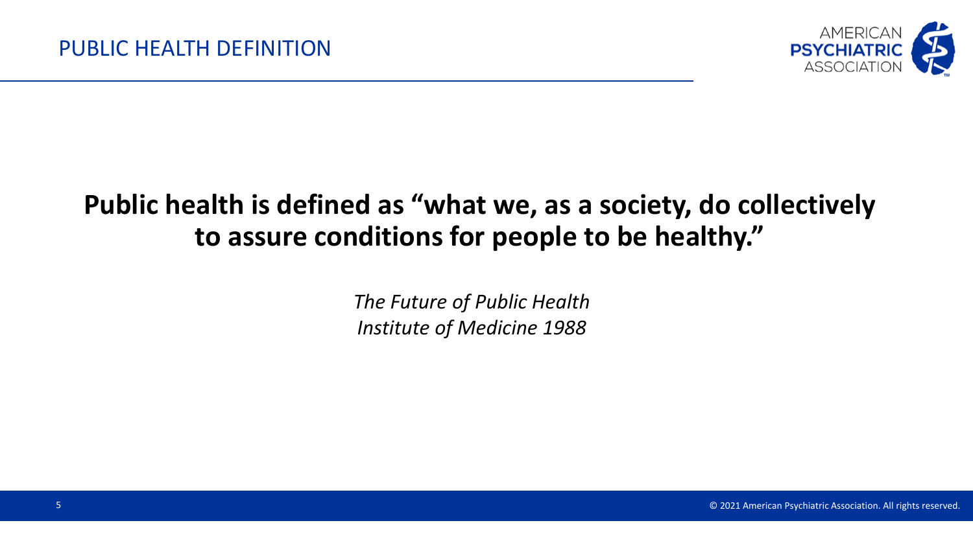

### **Public health is defined as "what we, as a society, do collectively to assure conditions for people to be healthy."**

*The Future of Public Health Institute of Medicine 1988*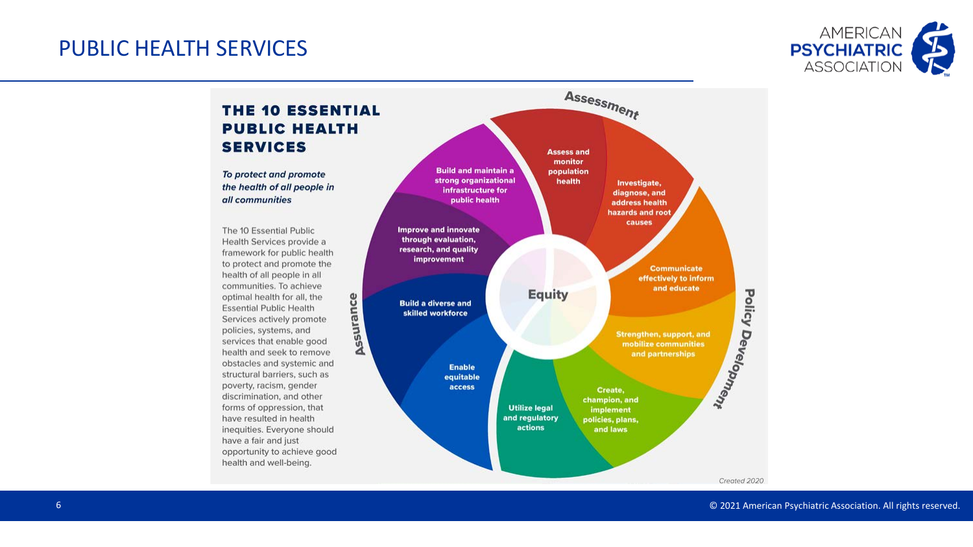#### PUBLIC HEALTH SERVICES



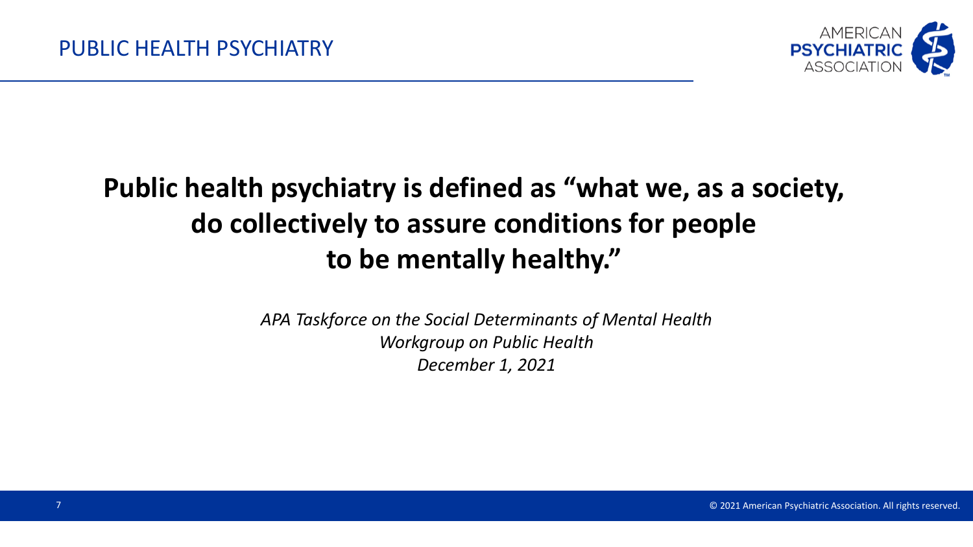

## **Public health psychiatry is defined as "what we, as a society, do collectively to assure conditions for people to be mentally healthy."**

*APA Taskforce on the Social Determinants of Mental Health Workgroup on Public Health December 1, 2021*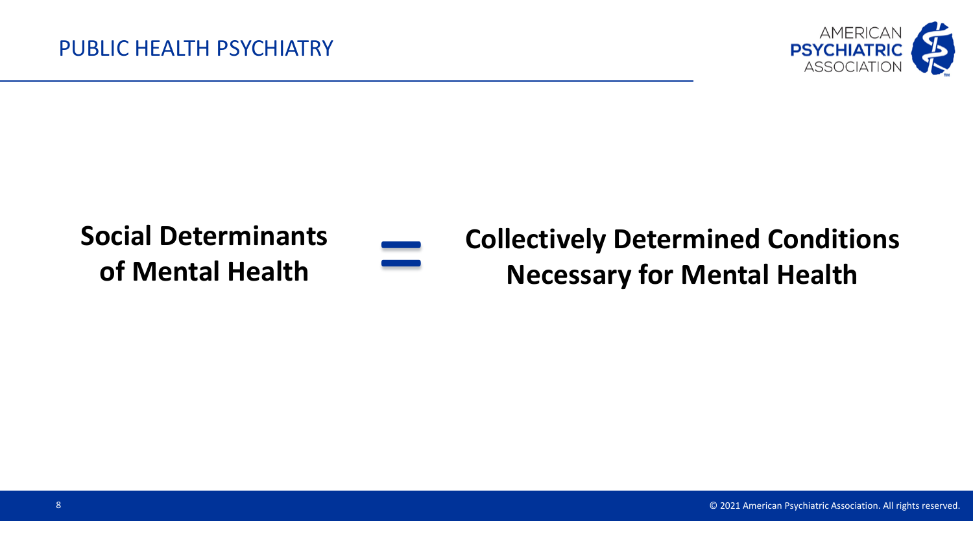

## **Social Determinants of Mental Health**



# **Collectively Determined Conditions** = **Necessary for Mental Health**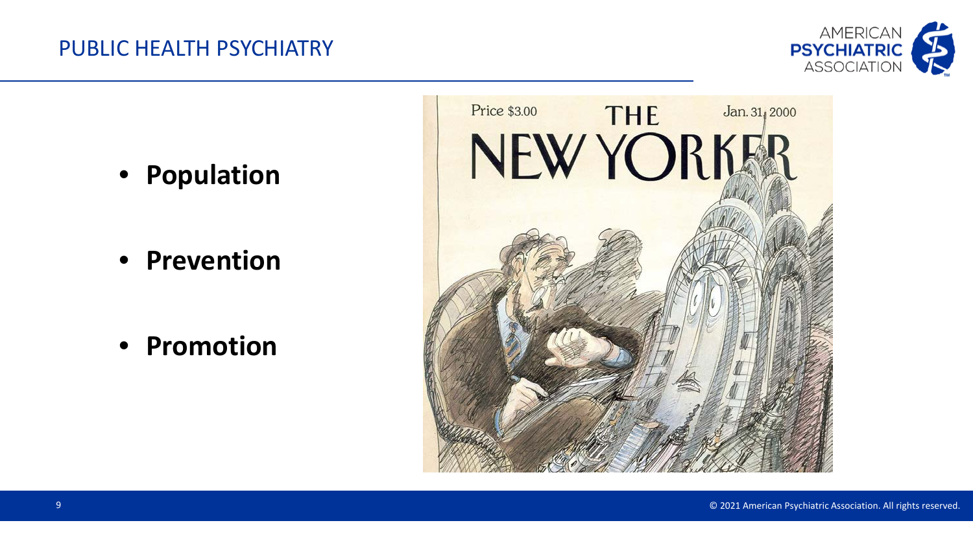

• **Population**

• **Prevention**

• **Promotion**

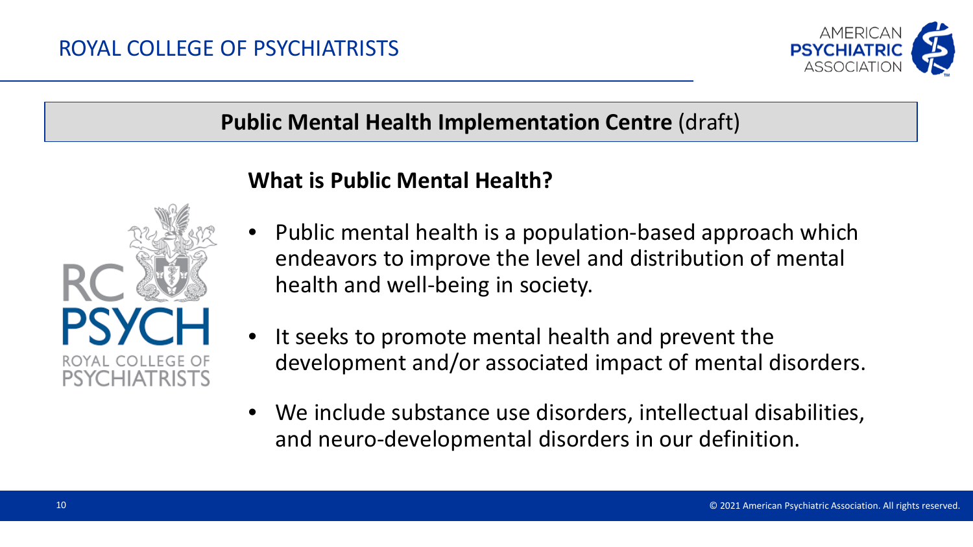

#### **Public Mental Health Implementation Centre** (draft)



#### **What is Public Mental Health?**

- Public mental health is a population-based approach which endeavors to improve the level and distribution of mental health and well-being in society.
- It seeks to promote mental health and prevent the development and/or associated impact of mental disorders.
- We include substance use disorders, intellectual disabilities, and neuro-developmental disorders in our definition.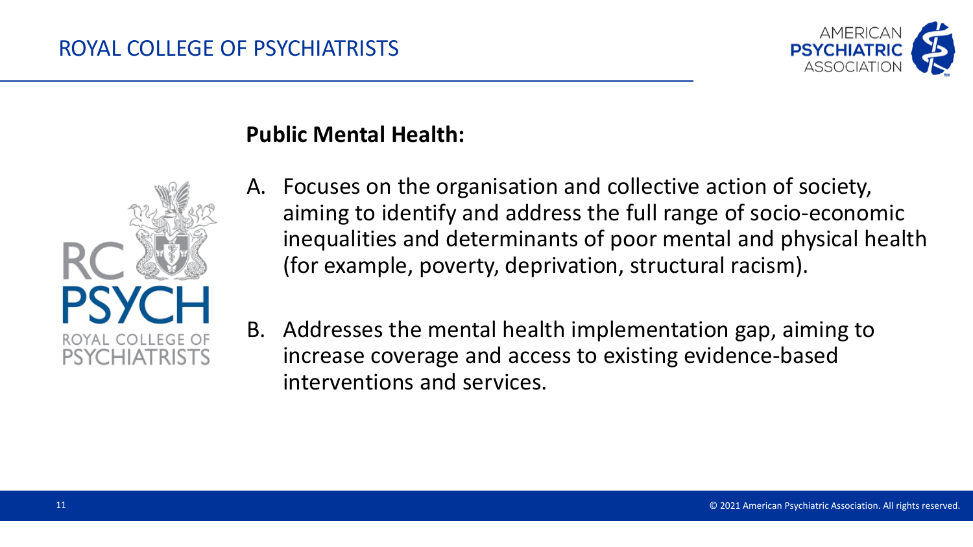

#### **Public Mental Health:**



- A. Focuses on the organisation and collective action of society, aiming to identify and address the full range of socio-economic inequalities and determinants of poor mental and physical health (for example, poverty, deprivation, structural racism).
- B. Addresses the mental health implementation gap, aiming to increase coverage and access to existing evidence-based interventions and services.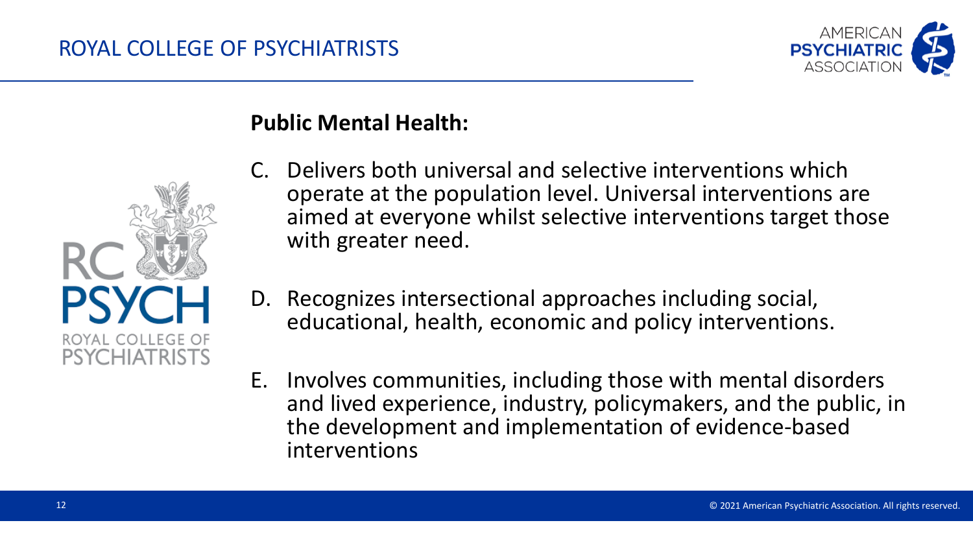



#### **Public Mental Health:**

- C. Delivers both universal and selective interventions which operate at the population level. Universal interventions are aimed at everyone whilst selective interventions target those with greater need.
- D. Recognizes intersectional approaches including social, educational, health, economic and policy interventions.
- E. Involves communities, including those with mental disorders and lived experience, industry, policymakers, and the public, in the development and implementation of evidence-based interventions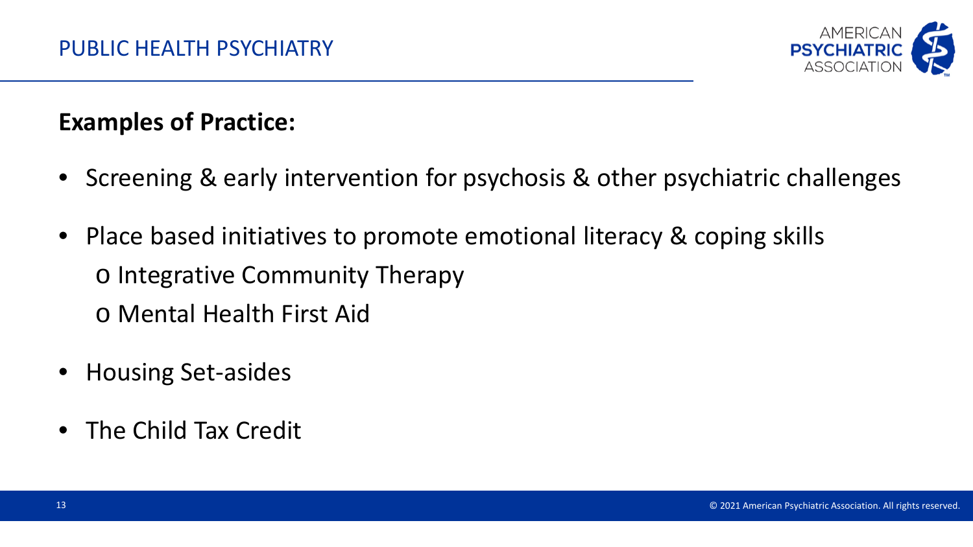

#### **Examples of Practice:**

- Screening & early intervention for psychosis & other psychiatric challenges
- Place based initiatives to promote emotional literacy & coping skills o Integrative Community Therapy o Mental Health First Aid
- Housing Set-asides
- The Child Tax Credit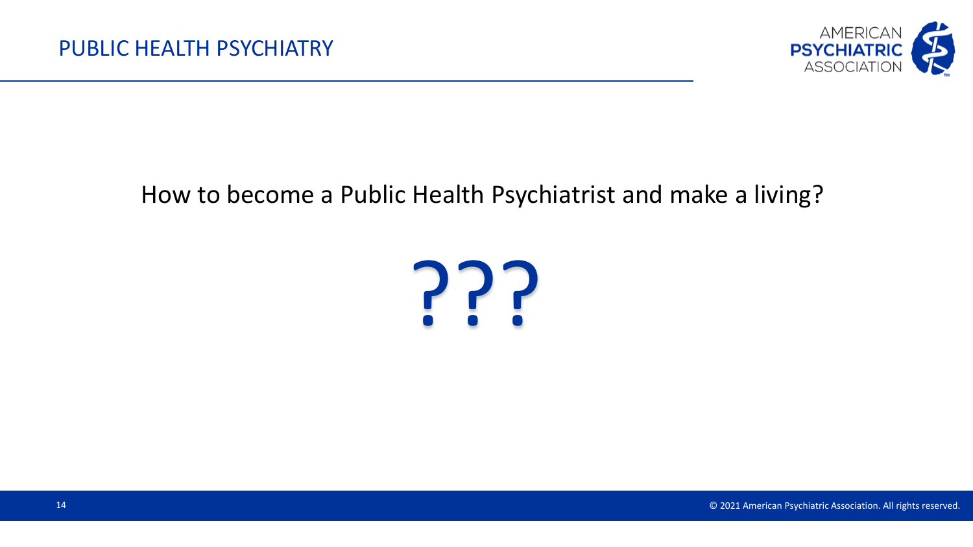

#### How to become a Public Health Psychiatrist and make a living?

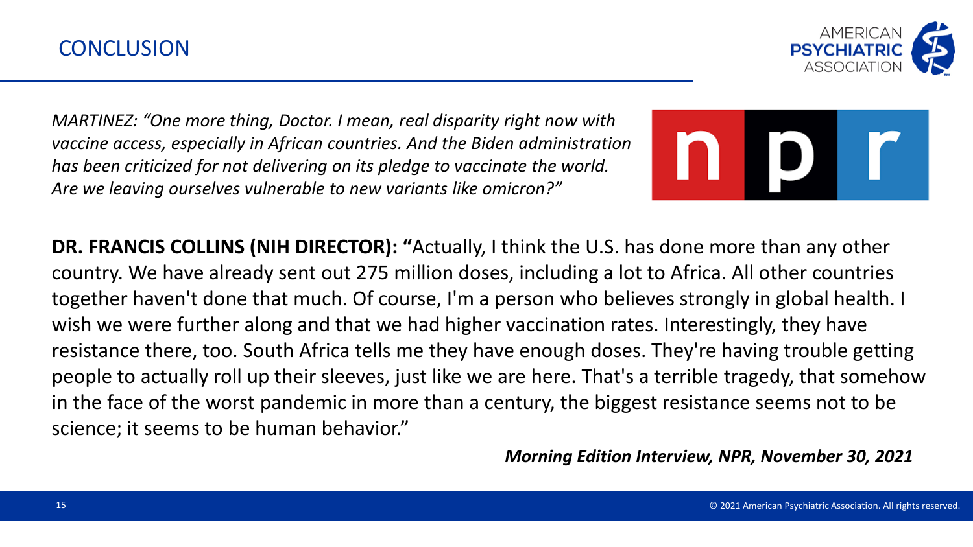

*MARTINEZ: "One more thing, Doctor. I mean, real disparity right now with vaccine access, especially in African countries. And the Biden administration has been criticized for not delivering on its pledge to vaccinate the world. Are we leaving ourselves vulnerable to new variants like omicron?"*



**DR. FRANCIS COLLINS (NIH DIRECTOR): "**Actually, I think the U.S. has done more than any other country. We have already sent out 275 million doses, including a lot to Africa. All other countries together haven't done that much. Of course, I'm a person who believes strongly in global health. I wish we were further along and that we had higher vaccination rates. Interestingly, they have resistance there, too. South Africa tells me they have enough doses. They're having trouble getting people to actually roll up their sleeves, just like we are here. That's a terrible tragedy, that somehow in the face of the worst pandemic in more than a century, the biggest resistance seems not to be science; it seems to be human behavior."

*Morning Edition Interview, NPR, November 30, 2021*